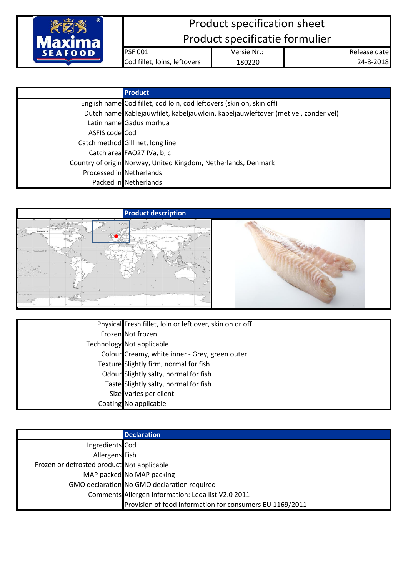

## Product specification sheet Product specificatie formulier

PSF 001 Versie Nr.: Cod fillet, loins, leftovers 180220

Release date 24-8-2018

|                | <b>Product</b>                                                                    |
|----------------|-----------------------------------------------------------------------------------|
|                | English name Cod fillet, cod loin, cod leftovers (skin on, skin off)              |
|                | Dutch name Kablejauwfilet, kabeljauwloin, kabeljauwleftover (met vel, zonder vel) |
|                | Latin name Gadus morhua                                                           |
| ASFIS code Cod |                                                                                   |
|                | Catch method Gill net, long line                                                  |
|                | Catch area FAO27 IVa, b, c                                                        |
|                | Country of origin Norway, United Kingdom, Netherlands, Denmark                    |
|                | Processed in Netherlands                                                          |
|                | Packed in Netherlands                                                             |



| Physical Fresh fillet, loin or left over, skin on or off |
|----------------------------------------------------------|
| Frozen Not frozen                                        |
| <b>Technology Not applicable</b>                         |
| Colour Creamy, white inner - Grey, green outer           |
| Texture Slightly firm, normal for fish                   |
| Odour Slightly salty, normal for fish                    |
| Taste Slightly salty, normal for fish                    |
| Size Varies per client                                   |
| Coating No applicable                                    |

|                                            | <b>Declaration</b>                                       |
|--------------------------------------------|----------------------------------------------------------|
| Ingredients Cod                            |                                                          |
| Allergens Fish                             |                                                          |
| Frozen or defrosted product Not applicable |                                                          |
|                                            | MAP packed No MAP packing                                |
|                                            | GMO declaration No GMO declaration required              |
|                                            | Comments Allergen information: Leda list V2.0 2011       |
|                                            | Provision of food information for consumers EU 1169/2011 |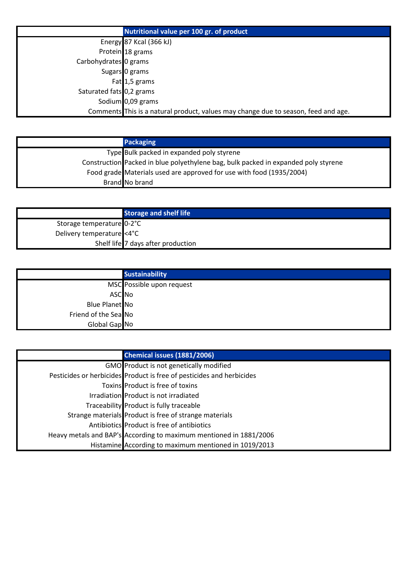|                                  | Nutritional value per 100 gr. of product                                           |
|----------------------------------|------------------------------------------------------------------------------------|
|                                  | Energy 87 Kcal (366 kJ)                                                            |
|                                  | Protein 18 grams                                                                   |
| Carbohydrates <sup>0</sup> grams |                                                                                    |
|                                  | Sugars 0 grams                                                                     |
|                                  | Fat 1,5 grams                                                                      |
| Saturated fats 0,2 grams         |                                                                                    |
|                                  | Sodium 0,09 grams                                                                  |
|                                  | Comments This is a natural product, values may change due to season, feed and age. |

| <b>Packaging</b>                                                                   |
|------------------------------------------------------------------------------------|
| Type Bulk packed in expanded poly styrene                                          |
| Construction Packed in blue polyethylene bag, bulk packed in expanded poly styrene |
| Food grade Materials used are approved for use with food (1935/2004)               |
| Brand No brand                                                                     |

|                           | <b>Storage and shelf life</b>      |
|---------------------------|------------------------------------|
| Storage temperature 0-2°C |                                    |
| Delivery temperature <4°C |                                    |
|                           | Shelf life 7 days after production |

|                      | <b>Sustainability</b>     |
|----------------------|---------------------------|
|                      | MSC Possible upon request |
| ASC <sub>No</sub>    |                           |
| Blue Planet No       |                           |
| Friend of the Sea No |                           |
| Global Gap No        |                           |

| Chemical issues (1881/2006)                                           |
|-----------------------------------------------------------------------|
| GMO Product is not genetically modified                               |
| Pesticides or herbicides Product is free of pesticides and herbicides |
| Toxins Product is free of toxins                                      |
| Irradiation Product is not irradiated                                 |
| Traceability Product is fully traceable                               |
| Strange materials Product is free of strange materials                |
| Antibiotics Product is free of antibiotics                            |
| Heavy metals and BAP's According to maximum mentioned in 1881/2006    |
| Histamine According to maximum mentioned in 1019/2013                 |